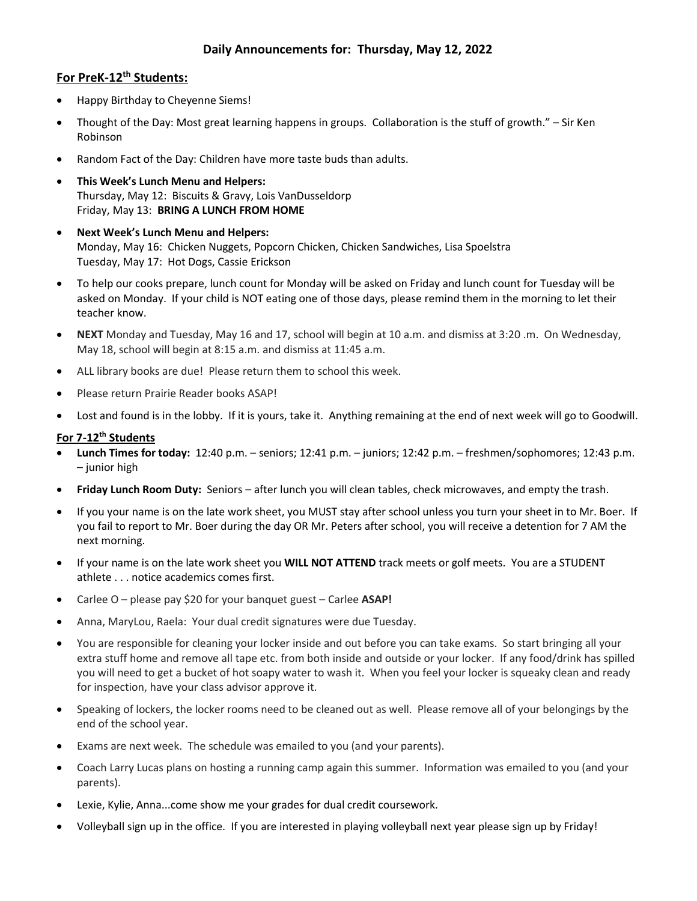# **For PreK-12th Students:**

- Happy Birthday to Cheyenne Siems!
- Thought of the Day: Most great learning happens in groups. Collaboration is the stuff of growth." Sir Ken Robinson
- Random Fact of the Day: Children have more taste buds than adults.
- **This Week's Lunch Menu and Helpers:** Thursday, May 12: Biscuits & Gravy, Lois VanDusseldorp Friday, May 13: **BRING A LUNCH FROM HOME**
- **Next Week's Lunch Menu and Helpers:** Monday, May 16: Chicken Nuggets, Popcorn Chicken, Chicken Sandwiches, Lisa Spoelstra Tuesday, May 17: Hot Dogs, Cassie Erickson
- To help our cooks prepare, lunch count for Monday will be asked on Friday and lunch count for Tuesday will be asked on Monday. If your child is NOT eating one of those days, please remind them in the morning to let their teacher know.
- **NEXT** Monday and Tuesday, May 16 and 17, school will begin at 10 a.m. and dismiss at 3:20 .m. On Wednesday, May 18, school will begin at 8:15 a.m. and dismiss at 11:45 a.m.
- ALL library books are due! Please return them to school this week.
- Please return Prairie Reader books ASAP!
- Lost and found is in the lobby. If it is yours, take it. Anything remaining at the end of next week will go to Goodwill.

## **For 7-12th Students**

- **Lunch Times for today:** 12:40 p.m. seniors; 12:41 p.m. juniors; 12:42 p.m. freshmen/sophomores; 12:43 p.m. – junior high
- **Friday Lunch Room Duty:** Seniors after lunch you will clean tables, check microwaves, and empty the trash.
- If you your name is on the late work sheet, you MUST stay after school unless you turn your sheet in to Mr. Boer. If you fail to report to Mr. Boer during the day OR Mr. Peters after school, you will receive a detention for 7 AM the next morning.
- If your name is on the late work sheet you **WILL NOT ATTEND** track meets or golf meets. You are a STUDENT athlete . . . notice academics comes first.
- Carlee O please pay \$20 for your banquet guest Carlee **ASAP!**
- Anna, MaryLou, Raela: Your dual credit signatures were due Tuesday.
- You are responsible for cleaning your locker inside and out before you can take exams. So start bringing all your extra stuff home and remove all tape etc. from both inside and outside or your locker. If any food/drink has spilled you will need to get a bucket of hot soapy water to wash it. When you feel your locker is squeaky clean and ready for inspection, have your class advisor approve it.
- Speaking of lockers, the locker rooms need to be cleaned out as well. Please remove all of your belongings by the end of the school year.
- Exams are next week. The schedule was emailed to you (and your parents).
- Coach Larry Lucas plans on hosting a running camp again this summer. Information was emailed to you (and your parents).
- Lexie, Kylie, Anna...come show me your grades for dual credit coursework.
- Volleyball sign up in the office. If you are interested in playing volleyball next year please sign up by Friday!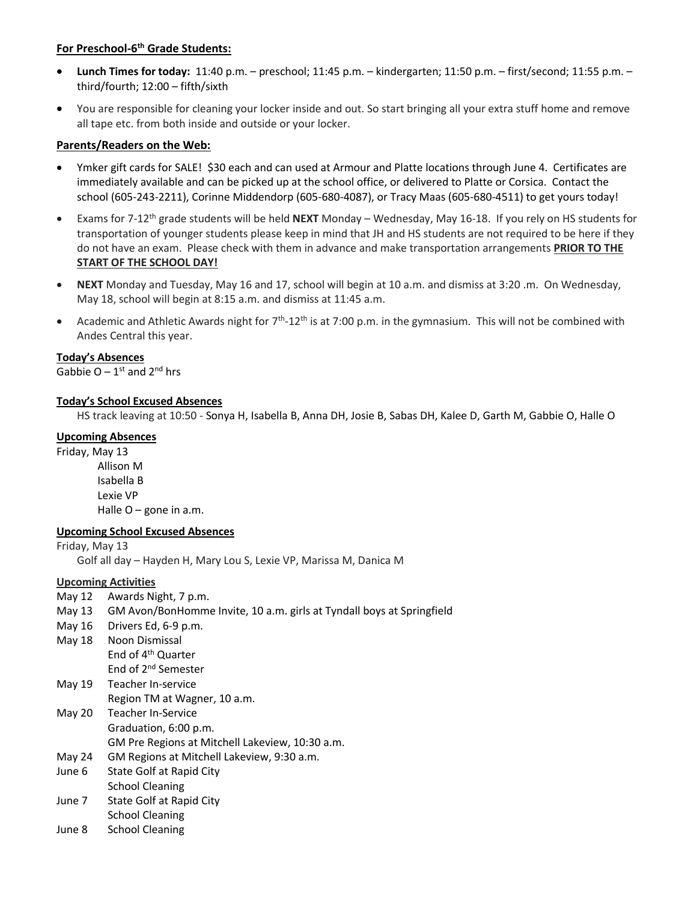## **For Preschool-6 th Grade Students:**

- **Lunch Times for today:** 11:40 p.m. preschool; 11:45 p.m. kindergarten; 11:50 p.m. first/second; 11:55 p.m. third/fourth; 12:00 – fifth/sixth
- You are responsible for cleaning your locker inside and out. So start bringing all your extra stuff home and remove all tape etc. from both inside and outside or your locker.

### **Parents/Readers on the Web:**

- Ymker gift cards for SALE! \$30 each and can used at Armour and Platte locations through June 4. Certificates are immediately available and can be picked up at the school office, or delivered to Platte or Corsica. Contact the school (605-243-2211), Corinne Middendorp (605-680-4087), or Tracy Maas (605-680-4511) to get yours today!
- Exams for 7-12th grade students will be held **NEXT** Monday Wednesday, May 16-18. If you rely on HS students for transportation of younger students please keep in mind that JH and HS students are not required to be here if they do not have an exam. Please check with them in advance and make transportation arrangements **PRIOR TO THE START OF THE SCHOOL DAY!**
- **NEXT** Monday and Tuesday, May 16 and 17, school will begin at 10 a.m. and dismiss at 3:20 .m. On Wednesday, May 18, school will begin at 8:15 a.m. and dismiss at 11:45 a.m.
- Academic and Athletic Awards night for  $7<sup>th</sup>$ -12<sup>th</sup> is at 7:00 p.m. in the gymnasium. This will not be combined with Andes Central this year.

#### **Today's Absences**

Gabbie  $O - 1$ <sup>st</sup> and  $2^{nd}$  hrs

#### **Today's School Excused Absences**

HS track leaving at 10:50 - Sonya H, Isabella B, Anna DH, Josie B, Sabas DH, Kalee D, Garth M, Gabbie O, Halle O

#### **Upcoming Absences**

Friday, May 13 Allison M Isabella B Lexie VP Halle  $O$  – gone in a.m.

#### **Upcoming School Excused Absences**

Friday, May 13

Golf all day – Hayden H, Mary Lou S, Lexie VP, Marissa M, Danica M

## **Upcoming Activities**

May 12 Awards Night, 7 p.m.

- May 13 GM Avon/BonHomme Invite, 10 a.m. girls at Tyndall boys at Springfield
- May 16 Drivers Ed, 6-9 p.m.
- May 18 Noon Dismissal End of 4th Quarter
	- End of 2nd Semester
- May 19 Teacher In-service Region TM at Wagner, 10 a.m.
- May 20 Teacher In-Service Graduation, 6:00 p.m. GM Pre Regions at Mitchell Lakeview, 10:30 a.m.
- May 24 GM Regions at Mitchell Lakeview, 9:30 a.m.
- June 6 State Golf at Rapid City School Cleaning
- June 7 State Golf at Rapid City School Cleaning
- June 8 School Cleaning